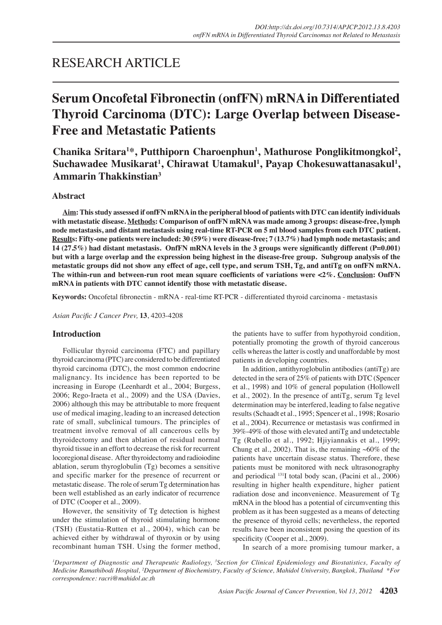# RESEARCH ARTICLE

# **Serum Oncofetal Fibronectin (onfFN) mRNA in Differentiated Thyroid Carcinoma (DTC): Large Overlap between Disease-Free and Metastatic Patients**

Chanika Sritara<sup>1\*</sup>, Putthiporn Charoenphun<sup>1</sup>, Mathurose Ponglikitmongkol<sup>2</sup>, **Suchawadee Musikarat1 , Chirawat Utamakul1 , Payap Chokesuwattanasakul1 , Ammarin Thakkinstian3**

# **Abstract**

**Aim: This study assessed if onfFN mRNA in the peripheral blood of patients with DTC can identify individuals with metastatic disease. Methods: Comparison of onfFN mRNA was made among 3 groups: disease-free, lymph node metastasis, and distant metastasis using real-time RT-PCR on 5 ml blood samples from each DTC patient. Results: Fifty-one patients were included: 30 (59%) were disease-free; 7 (13.7%) had lymph node metastasis; and 14 (27.5%) had distant metastasis. OnfFN mRNA levels in the 3 groups were significantly different (P=0.001) but with a large overlap and the expression being highest in the disease-free group. Subgroup analysis of the metastatic groups did not show any effect of age, cell type, and serum TSH, Tg, and antiTg on onfFN mRNA. The within-run and between-run root mean square coefficients of variations were <2%. Conclusion: OnfFN mRNA in patients with DTC cannot identify those with metastatic disease.** 

**Keywords:** Oncofetal fibronectin - mRNA - real-time RT-PCR - differentiated thyroid carcinoma - metastasis

*Asian Pacific J Cancer Prev,* **13**, 4203-4208

# **Introduction**

Follicular thyroid carcinoma (FTC) and papillary thyroid carcinoma (PTC) are considered to be differentiated thyroid carcinoma (DTC), the most common endocrine malignancy. Its incidence has been reported to be increasing in Europe (Leenhardt et al., 2004; Burgess, 2006; Rego-Iraeta et al., 2009) and the USA (Davies, 2006) although this may be attributable to more frequent use of medical imaging, leading to an increased detection rate of small, subclinical tumours. The principles of treatment involve removal of all cancerous cells by thyroidectomy and then ablation of residual normal thyroid tissue in an effort to decrease the risk for recurrent locoregional disease. After thyroidectomy and radioiodine ablation, serum thyroglobulin (Tg) becomes a sensitive and specific marker for the presence of recurrent or metastatic disease. The role of serum Tg determination has been well established as an early indicator of recurrence of DTC (Cooper et al., 2009).

However, the sensitivity of Tg detection is highest under the stimulation of thyroid stimulating hormone (TSH) (Eustatia-Rutten et al., 2004), which can be achieved either by withdrawal of thyroxin or by using recombinant human TSH. Using the former method, the patients have to suffer from hypothyroid condition, potentially promoting the growth of thyroid cancerous cells whereas the latter is costly and unaffordable by most patients in developing countries.

In addition, antithyroglobulin antibodies (antiTg) are detected in the sera of 25% of patients with DTC (Spencer et al., 1998) and 10% of general population (Hollowell et al., 2002). In the presence of antiTg, serum Tg level determination may be interfered, leading to false negative results (Schaadt et al., 1995; Spencer et al., 1998; Rosario et al., 2004). Recurrence or metastasis was confirmed in 39%-49% of those with elevated antiTg and undetectable Tg (Rubello et al., 1992; Hjiyiannakis et al., 1999; Chung et al., 2002). That is, the remaining  $~60\%$  of the patients have uncertain disease status. Therefore, these patients must be monitored with neck ultrasonography and periodical 131I total body scan, (Pacini et al., 2006) resulting in higher health expenditure, higher patient radiation dose and inconvenience. Measurement of Tg mRNA in the blood has a potential of circumventing this problem as it has been suggested as a means of detecting the presence of thyroid cells; nevertheless, the reported results have been inconsistent posing the question of its specificity (Cooper et al., 2009).

In search of a more promising tumour marker, a

*1 Department of Diagnostic and Therapeutic Radiology, <sup>3</sup> Section for Clinical Epidemiology and Biostatistics, Faculty of Medicine Ramathibodi Hospital, <sup>2</sup> Department of Biochemistry, Faculty of Science, Mahidol University, Bangkok, Thailand \*For correspondence: racri@mahidol.ac.th*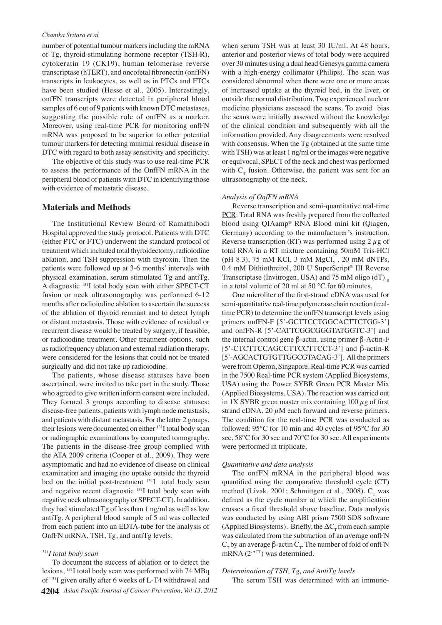## *Chanika Sritara et al*

number of potential tumour markers including the mRNA of Tg, thyroid-stimulating hormone receptor (TSH-R), cytokeratin 19 (CK19), human telomerase reverse transcriptase (hTERT), and oncofetal fibronectin (onfFN) transcripts in leukocytes, as well as in PTCs and FTCs have been studied (Hesse et al., 2005). Interestingly, onfFN transcripts were detected in peripheral blood samples of 6 out of 9 patients with known DTC metastases, suggesting the possible role of onfFN as a marker. Moreover, using real-time PCR for monitoring onfFN mRNA was proposed to be superior to other potential tumour markers for detecting minimal residual disease in DTC with regard to both assay sensitivity and specificity.

The objective of this study was to use real-time PCR to assess the performance of the OnfFN mRNA in the peripheral blood of patients with DTC in identifying those with evidence of metastatic disease.

# **Materials and Methods**

The Institutional Review Board of Ramathibodi Hospital approved the study protocol. Patients with DTC (either PTC or FTC) underwent the standard protocol of treatment which included total thyroidectomy, radioiodine ablation, and TSH suppression with thyroxin. Then the patients were followed up at 3-6 months' intervals with physical examination, serum stimulated Tg and antiTg. A diagnostic 131I total body scan with either SPECT-CT fusion or neck ultrasonography was performed 6-12 months after radioiodine ablation to ascertain the success of the ablation of thyroid remnant and to detect lymph or distant metastasis. Those with evidence of residual or recurrent disease would be treated by surgery, if feasible, or radioiodine treatment. Other treatment options, such as radiofrequency ablation and external radiation therapy, were considered for the lesions that could not be treated surgically and did not take up radioiodine.

The patients, whose disease statuses have been ascertained, were invited to take part in the study. Those who agreed to give written inform consent were included. They formed 3 groups according to disease statuses: disease-free patients, patients with lymph node metastasis, and patients with distant metastasis. For the latter 2 groups, their lesions were documented on either 131I total body scan or radiographic examinations by computed tomography. The patients in the disease-free group complied with the ATA 2009 criteria (Cooper et al., 2009). They were asymptomatic and had no evidence of disease on clinical examination and imaging (no uptake outside the thyroid bed on the initial post-treatment <sup>131</sup>I total body scan and negative recent diagnostic 131I total body scan with negative neck ultrasonography or SPECT-CT). In addition, they had stimulated Tg of less than 1 ng/ml as well as low antiTg. A peripheral blood sample of 5 ml was collected from each patient into an EDTA-tube for the analysis of OnfFN mRNA, TSH, Tg, and antiTg levels.

## *<sup>131</sup>I total body scan*

**4204** *Asian Pacific Journal of Cancer Prevention, Vol 13, 2012* To document the success of ablation or to detect the lesions, 131I total body scan was performed with 74 MBq of 131I given orally after 6 weeks of L-T4 withdrawal and

when serum TSH was at least 30 IU/ml. At 48 hours, anterior and posterior views of total body were acquired over 30 minutes using a dual head Genesys gamma camera with a high-energy collimator (Philips). The scan was considered abnormal when there were one or more areas of increased uptake at the thyroid bed, in the liver, or outside the normal distribution. Two experienced nuclear medicine physicians assessed the scans. To avoid bias the scans were initially assessed without the knowledge of the clinical condition and subsequently with all the information provided. Any disagreements were resolved with consensus. When the Tg (obtained at the same time with TSH) was at least 1 ng/ml or the images were negative or equivocal, SPECT of the neck and chest was performed with  $C<sub>r</sub>$  fusion. Otherwise, the patient was sent for an ultrasonography of the neck.

#### *Analysis of OnfFN mRNA*

Reverse transcription and semi-quantitative real-time PCR: Total RNA was freshly prepared from the collected blood using QIAamp® RNA Blood mini kit (Qiagen, Germany) according to the manufacturer's instruction. Reverse transcription (RT) was performed using  $2 \mu$ g of total RNA in a RT mixture containing 50mM Tris-HCl (pH 8.3), 75 mM KCl, 3 mM  $MgCl_2$ , 20 mM dNTPs, 0.4 mM Dithiothreitol, 200 U SuperScript® III Reverse Transcriptase (Invitrogen, USA) and 75 mM oligo (dT)<sub>18</sub> in a total volume of 20 ml at 50 °C for 60 minutes.

One microliter of the first-strand cDNA was used for semi-quantitative real-time polymerase chain reaction (realtime PCR) to determine the onfFN transcript levels using primers onfFN-F [5'-GCTTCCTGGCACTTCTGG-3'] and onfFN-R [5'-CATTCGGCGGGTATGGTC-3'] and the internal control gene β-actin, using primer β-Actin-F [5'-CTCTTCCAGCCTTCCTTCCT-3'] and β-actin-R [5'-AGCACTGTGTTGGCGTACAG-3']. All the primers were from Operon, Singapore. Real-time PCR was carried in the 7500 Real-time PCR system (Applied Biosystems, USA) using the Power SYBR Green PCR Master Mix (Applied Biosystems, USA). The reaction was carried out in 1X SYBR green master mix containing  $100 \mu$ g of first strand cDNA, 20  $\mu$ M each forward and reverse primers. The condition for the real-time PCR was conducted as followed: 95°C for 10 min and 40 cycles of 95°C for 30 sec, 58°C for 30 sec and 70°C for 30 sec. All experiments were performed in triplicate.

### *Quantitative and data analysis*

The onfFN mRNA in the peripheral blood was quantified using the comparative threshold cycle (CT) method (Livak, 2001; Schmittgen et al., 2008).  $C<sub>r</sub>$  was defined as the cycle number at which the amplification crosses a fixed threshold above baseline. Data analysis was conducted by using ABI prism 7500 SDS software (Applied Biosystems). Briefly, the  $\Delta C$  from each sample was calculated from the subtraction of an average onfFN  $C_T$ by an average β-actin  $C_T$ . The number of fold of onfFN mRNA  $(2^{-\Delta C T})$  was determined.

# *Determination of TSH, Tg, and AntiTg levels*

The serum TSH was determined with an immuno-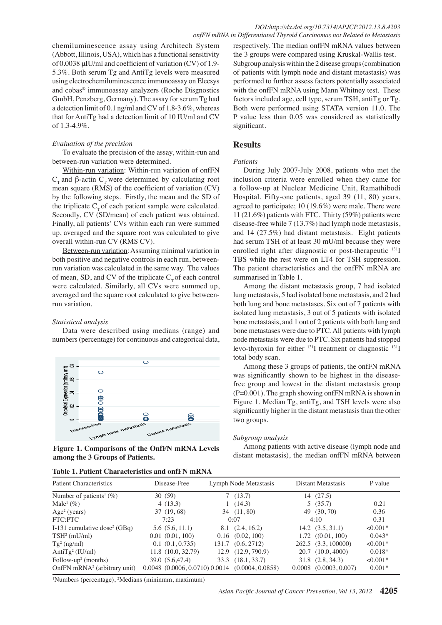chemiluminescence assay using Architech System (Abbott, Illinois, USA), which has a functional sensitivity of 0.0038 μIU/ml and coefficient of variation (CV) of 1.9- 5.3%. Both serum Tg and AntiTg levels were measured using electrochemiluminescence immunoassay on Elecsys and cobas® immunoassay analyzers (Roche Disgnostics GmbH, Penzberg, Germany). The assay for serum Tg had a detection limit of 0.1 ng/ml and CV of 1.8-3.6%, whereas that for AntiTg had a detection limit of 10 IU/ml and CV of 1.3-4.9%.

## *Evaluation of the precision*

To evaluate the precision of the assay, within-run and between-run variation were determined.

Within-run variation: Within-run variation of onfFN  $C_T$  and β-actin  $C_T$  were determined by calculating root mean square (RMS) of the coefficient of variation (CV) by the following steps. Firstly, the mean and the SD of the triplicate  $C<sub>r</sub>$  of each patient sample were calculated. Secondly, CV (SD/mean) of each patient was obtained. Finally, all patients' CVs within each run were summed up, averaged and the square root was calculated to give overall within-run CV (RMS CV).

Between-run variation: Assuming minimal variation in both positive and negative controls in each run, betweenrun variation was calculated in the same way. The values of mean, SD, and CV of the triplicate  $C<sub>T</sub>$  of each control were calculated. Similarly, all CVs were summed up, averaged and the square root calculated to give betweenrun variation.

## *Statistical analysis*

Data were described using medians (range) and numbers (percentage) for continuous and categorical data,



**Figure 1. Comparisons of the OnfFN mRNA Levels among the 3 Groups of Patients.**

| Table 1. Patient Characteristics and onfFN mRNA |  |
|-------------------------------------------------|--|
|-------------------------------------------------|--|

respectively. The median onfFN mRNA values between the 3 groups were compared using Kruskal-Wallis test. Subgroup analysis within the 2 disease groups (combination of patients with lymph node and distant metastasis) was performed to further assess factors potentially associated with the onfFN mRNA using Mann Whitney test. These factors included age, cell type, serum TSH, antiTg or Tg. Both were performed using STATA version 11.0. The P value less than 0.05 was considered as statistically significant.

## **Results**

#### *Patients*

During July 2007-July 2008, patients who met the inclusion criteria were enrolled when they came for a follow-up at Nuclear Medicine Unit, Ramathibodi Hospital. Fifty-one patients, aged 39 (11, 80) years, agreed to participate; 10 (19.6%) were male. There were 11 (21.6%) patients with FTC. Thirty (59%) patients were disease-free while 7 (13.7%) had lymph node metastasis, and 14 (27.5%) had distant metastasis. Eight patients had serum TSH of at least 30 mU/ml because they were enrolled right after diagnostic or post-therapeutic <sup>131</sup>I TBS while the rest were on LT4 for TSH suppression. The patient characteristics and the onfFN mRNA are summarised in Table 1.

75.0 bone metastasis, and 1 out of 2 patients with both lung and **00.0** Among the distant metastasis group, 7 had isolated lung metastasis, 5 had isolated bone metastasis, and 2 had both lung and bone metastases. Six out of 7 patients with isolated lung metastasis, 3 out of 5 patients with isolated bone metastases were due to PTC. All patients with lymph node metastasis were due to PTC. Six patients had stopped levo-thyroxin for either 131I treatment or diagnostic 131I total body scan.

25.0 free group and lowest in the distant metastasis group 50.0 Among these 3 groups of patients, the onfFN mRNA was significantly shown to be highest in the disease-(P=0.001). The graph showing onfFN mRNA is shown in Figure 1. Median Tg, antiTg, and TSH levels were also significantly higher in the distant metastasis than the other two groups.

## *Subgroup analysis*

0 Among patients with active disease (lymph node and distant metastasis), the median onfFN mRNA between

**54.2**

**38.0 31.3**

**12.8**

**51.1**

**30.0 31.3**

**20.3 6.3 10.1**

**46.8 56.3**

| <b>Patient Characteristics</b>                                                     | Disease-Free                                               |  | Lymph Node Metastasis |       |      | Distant Metastasis               |               | P value    |      |
|------------------------------------------------------------------------------------|------------------------------------------------------------|--|-----------------------|-------|------|----------------------------------|---------------|------------|------|
| Number of patients <sup>1</sup> (%)                                                | 30(59)                                                     |  | 7(13.7)               |       |      | 14 (27.5)                        |               |            |      |
| Male <sup>1</sup> $(\% )$                                                          | 4(13.3)                                                    |  | 1(14.3)               |       |      | 5(35.7)                          |               | 0.21       |      |
| $Age2$ (years)                                                                     | 37(19,68)                                                  |  | 34 (11,80)            |       |      | 49 (30, 70)                      |               | 0.36       |      |
| FTC:PTC                                                                            | 7:23                                                       |  | 0:07                  |       |      | 4:10                             |               | 0.31       |      |
| I-131 cumulative dose <sup>2</sup> (GBq)                                           | 5.6(5.6, 11.1)                                             |  | $8.1\quad(2.4, 16.2)$ |       |      | $14.2$ $(3.5, 31.1)$             |               | $< 0.001*$ |      |
| $TSH2$ (mU/ml)                                                                     | 0.01(0.01, 100)                                            |  | $0.16$ $(0.02, 100)$  |       |      | $1.72$ $((0.01, 100)$            |               | $0.043*$   |      |
| $Tg^2$ (ng/ml)                                                                     | 0.1(0.1, 0.735)                                            |  | 131.7 (0.6, 2712)     |       |      | 262.5 (3.3, 100000)              |               | $< 0.001*$ |      |
| Anti $Tg^2$ (IU/ml)                                                                | 11.8(10.0, 32.79)                                          |  | 12.9 (12.9, 790.9)    |       |      | 20.7 (10.0, 4000)                |               | $0.018*$   |      |
| Follow-up <sup>2</sup> (months)                                                    | 39.0 (5.6,47.4)                                            |  | 10000(18.1, 33.7)     |       |      | $31.8 \quad (2.8, 34.3)$         |               | $<0.001*$  |      |
| OnfFN mRNA <sup>2</sup> (arbitrary unit)                                           | 0.0048 (0.0006, 0.0710) 0.0014 (0.000 $\leftarrow$ 8.9858) |  |                       |       |      | $\sqrt{0.0008}$ (0.000\$, 0.007) |               | $0.001*$   |      |
| 20.3<br><sup>1</sup> Numbers (percentage), <sup>2</sup> Medians (minimum, maximum) |                                                            |  |                       |       |      |                                  |               |            |      |
|                                                                                    |                                                            |  | Asan Pacific          | il of | Pr   |                                  | 25.0<br>ı, Vd | 4205       | 30.0 |
|                                                                                    |                                                            |  |                       |       |      |                                  |               |            |      |
|                                                                                    |                                                            |  | 56.3                  |       | 46.8 |                                  |               |            |      |

50.0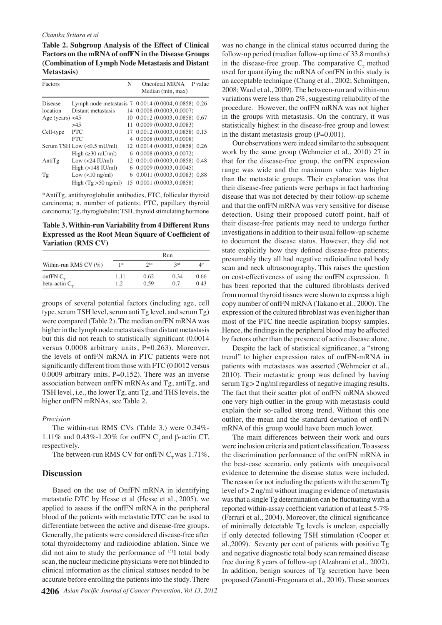## *Chanika Sritara et al*

**Table 2. Subgroup Analysis of the Effect of Clinical Factors on the mRNA of onfFN in the Disease Groups (Combination of Lymph Node Metastasis and Distant Metastasis)**

| Factors            |                                | N | Oncofetal MRNA P value<br>Median (min, max)          |
|--------------------|--------------------------------|---|------------------------------------------------------|
| Disease            |                                |   | Lymph node metastasis 7 0.0014 (0.0004, 0.0858) 0.26 |
| location           | Distant metastasis             |   | 14 0.0008 (0.0003, 0.0007)                           |
| Age (years) $<$ 45 |                                |   | 10 0.0012 (0.0003, 0.0858) 0.67                      |
|                    | >45                            |   | 11 0.0009 (0.0003, 0.0083)                           |
| Cell-type          | PTC.                           |   | 17 0.0012 (0.0003, 0.0858) 0.15                      |
|                    | <b>FTC</b>                     |   | 4 0.0008 (0.0003, 0.0008)                            |
|                    | Serum TSH Low (<0.5 mU/ml)     |   | 12 0.0014 (0.0003, 0.0858) 0.26                      |
|                    | High $(\geq 30 \text{ mU/ml})$ |   | 6 0.0008 (0.0003, 0.0072)                            |
| AntiTg             | Low $(<24$ IU/ml)              |   | 12 0.0010 (0.0003, 0.0858) 0.48                      |
|                    | High $(>148$ IU/ml)            |   | $6$ 0.0009 (0.0003, 0.0045)                          |
| Tg                 | Low $(<10$ ng/ml)              |   | 6 0.0011 (0.0003, 0.0083) 0.88                       |
|                    | High $(Tg > 50$ ng/ml)         |   | 15 0.0001 (0.0003, 0.0858)                           |

\*AntiTg, antithyroglobulin antibodies, FTC, follicular thyroid carcinoma; n, number of patients; PTC, papillary thyroid carcinoma; Tg, thyroglobulin; TSH, thyroid stimulating hormone

**Table 3. Within-run Variability from 4 Different Runs Expressed as the Root Mean Square of Coefficient of Variation (RMS CV)** 

|                                       | Run        |              |             |                |
|---------------------------------------|------------|--------------|-------------|----------------|
| Within-run RMS CV $(\%)$              | 1 st       | 2nd          | 2rd         | $\varDelta$ th |
| onfFN $C_{\rm T}$<br>beta-actin $C_r$ | 1.11<br>12 | 0.62<br>0.59 | 0.34<br>0.7 | 0.66<br>0.43   |

groups of several potential factors (including age, cell type, serum TSH level, serum anti Tg level, and serum Tg) were compared (Table 2). The median onfFN mRNA was higher in the lymph node metastasis than distant metastasis but this did not reach to statistically significant (0.0014 versus 0.0008 arbitrary units, P=0.263). Moreover, the levels of onfFN mRNA in PTC patients were not significantly different from those with FTC (0.0012 versus 0.0009 arbitrary units, P=0.152). There was an inverse association between onfFN mRNAs and Tg, antiTg, and TSH level, i.e., the lower Tg, anti Tg, and THS levels, the higher onfFN mRNAs, see Table 2.

### *Precision*

The within-run RMS CVs (Table 3.) were 0.34%- 1.11% and 0.43%-1.20% for onfFN C<sub>T</sub> and β-actin CT, respectively.

The between-run RMS CV for onfFN  $C_r$  was 1.71%.

## **Discussion**

Based on the use of OnfFN mRNA in identifying metastatic DTC by Hesse et al (Hesse et al., 2005), we applied to assess if the onfFN mRNA in the peripheral blood of the patients with metastatic DTC can be used to differentiate between the active and disease-free groups. Generally, the patients were considered disease-free after total thyroidectomy and radioiodine ablation. Since we did not aim to study the performance of 131I total body scan, the nuclear medicine physicians were not blinded to clinical information as the clinical statuses needed to be accurate before enrolling the patients into the study. There

was no change in the clinical status occurred during the follow-up period (median follow-up time of 33.8 months) in the disease-free group. The comparative  $C<sub>r</sub>$  method used for quantifying the mRNA of onfFN in this study is an acceptable technique (Chang et al., 2002; Schmittgen, 2008; Ward et al., 2009). The between-run and within-run variations were less than 2%, suggesting reliability of the procedure. However, the onfFN mRNA was not higher in the groups with metastasis. On the contrary, it was statistically highest in the disease-free group and lowest in the distant metastasis group  $(P=0.001)$ .

Our observations were indeed similar to the subsequent work by the same group (Wehmeier et al., 2010) 27 in that for the disease-free group, the onfFN expression range was wide and the maximum value was higher than the metastatic groups. Their explanation was that their disease-free patients were perhaps in fact harboring disease that was not detected by their follow-up scheme and that the onfFN mRNA was very sensitive for disease detection. Using their proposed cutoff point, half of their disease-free patients may need to undergo further investigations in addition to their usual follow-up scheme to document the disease status. However, they did not state explicitly how they defined disease-free patients; presumably they all had negative radioiodine total body scan and neck ultrasonography. This raises the question on cost-effectiveness of using the onfFN expression. It has been reported that the cultured fibroblasts derived from normal thyroid tissues were shown to express a high copy number of onfFN mRNA (Takano et al., 2000). The expression of the cultured fibroblast was even higher than most of the PTC fine needle aspiration biopsy samples. Hence, the findings in the peripheral blood may be affected by factors other than the presence of active disease alone.

Despite the lack of statistical significance, a "strong trend" to higher expression rates of onfFN-mRNA in patients with metastases was asserted (Wehmeier et al., 2010). Their metastatic group was defined by having serum Tg > 2 ng/ml regardless of negative imaging results. The fact that their scatter plot of onfFN mRNA showed one very high outlier in the group with metastasis could explain their so-called strong trend. Without this one outlier, the mean and the standard deviation of onfFN mRNA of this group would have been much lower.

The main differences between their work and ours were inclusion criteria and patient classification. To assess the discrimination performance of the onfFN mRNA in the best-case scenario, only patients with unequivocal evidence to determine the disease status were included. The reason for not including the patients with the serum Tg level of > 2 ng/ml without imaging evidence of metastasis was that a single Tg determination can be fluctuating with a reported within-assay coefficient variation of at least 5-7% (Ferrari et al., 2004). Moreover, the clinical significance of minimally detectable Tg levels is unclear, especially if only detected following TSH stimulation (Cooper et al.,2009). Seventy per cent of patients with positive Tg and negative diagnostic total body scan remained disease free during 8 years of follow-up (Alzahrani et al., 2002). In addition, benign sources of Tg secretion have been proposed (Zanotti-Fregonara et al., 2010). These sources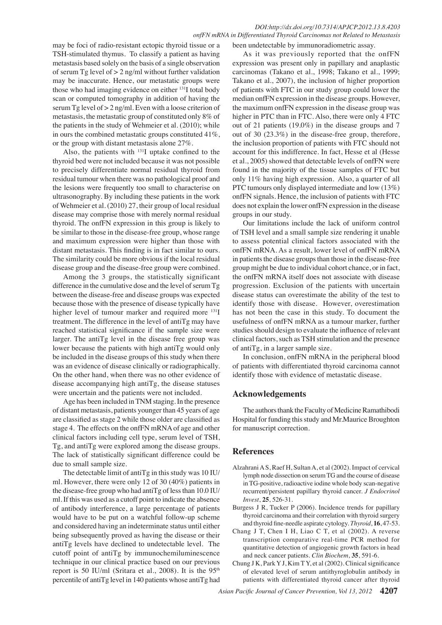# *DOI:http://dx.doi.org/10.7314/APJCP.2012.13.8.4203 onfFN mRNA in Differentiated Thyroid Carcinomas not Related to Metastasis*

may be foci of radio-resistant ectopic thyroid tissue or a TSH-stimulated thymus. To classify a patient as having metastasis based solely on the basis of a single observation of serum Tg level of  $> 2$  ng/ml without further validation may be inaccurate. Hence, our metastatic groups were those who had imaging evidence on either <sup>131</sup>I total body scan or computed tomography in addition of having the serum Tg level of > 2 ng/ml. Even with a loose criterion of metastasis, the metastatic group of constituted only 8% of the patients in the study of Wehmeier et al. (2010); while in ours the combined metastatic groups constituted 41%, or the group with distant metastasis alone 27%.

Also, the patients with 131I uptake confined to the thyroid bed were not included because it was not possible to precisely differentiate normal residual thyroid from residual tumour when there was no pathological proof and the lesions were frequently too small to characterise on ultrasonography. By including these patients in the work of Wehmeier et al. (2010) 27, their group of local residual disease may comprise those with merely normal residual thyroid. The onfFN expression in this group is likely to be similar to those in the disease-free group, whose range and maximum expression were higher than those with distant metastasis. This finding is in fact similar to ours. The similarity could be more obvious if the local residual disease group and the disease-free group were combined.

Among the 3 groups, the statistically significant difference in the cumulative dose and the level of serum Tg between the disease-free and disease groups was expected because those with the presence of disease typically have higher level of tumour marker and required more <sup>131</sup>I treatment. The difference in the level of antiTg may have reached statistical significance if the sample size were larger. The antiTg level in the disease free group was lower because the patients with high antiTg would only be included in the disease groups of this study when there was an evidence of disease clinically or radiographically. On the other hand, when there was no other evidence of disease accompanying high antiTg, the disease statuses were uncertain and the patients were not included.

Age has been included in TNM staging. In the presence of distant metastasis, patients younger than 45 years of age are classified as stage 2 while those older are classified as stage 4. The effects on the onfFN mRNA of age and other clinical factors including cell type, serum level of TSH, Tg, and antiTg were explored among the disease groups. The lack of statistically significant difference could be due to small sample size.

The detectable limit of antiTg in this study was 10 IU/ ml. However, there were only 12 of 30 (40%) patients in the disease-free group who had antiTg of less than 10.0 IU/ ml. If this was used as a cutoff point to indicate the absence of antibody interference, a large percentage of patients would have to be put on a watchful follow-up scheme and considered having an indeterminate status until either being subsequently proved as having the disease or their antiTg levels have declined to undetectable level. The cutoff point of antiTg by immunochemiluminescence technique in our clinical practice based on our previous report is 50 IU/ml (Sritara et al., 2008). It is the 95<sup>th</sup> percentile of antiTg level in 140 patients whose antiTg had

been undetectable by immunoradiometric assay.

As it was previously reported that the onfFN expression was present only in papillary and anaplastic carcinomas (Takano et al., 1998; Takano et al., 1999; Takano et al., 2007), the inclusion of higher proportion of patients with FTC in our study group could lower the median onfFN expression in the disease groups. However, the maximum onfFN expression in the disease group was higher in PTC than in FTC. Also, there were only 4 FTC out of 21 patients (19.0%) in the disease groups and 7 out of 30 (23.3%) in the disease-free group, therefore, the inclusion proportion of patients with FTC should not account for this indifference. In fact, Hesse et al (Hesse et al., 2005) showed that detectable levels of onfFN were found in the majority of the tissue samples of FTC but only 11% having high expression. Also, a quarter of all PTC tumours only displayed intermediate and low (13%) onfFN signals. Hence, the inclusion of patients with FTC does not explain the lower onfFN expression in the disease groups in our study.

Our limitations include the lack of uniform control of TSH level and a small sample size rendering it unable to assess potential clinical factors associated with the onfFN mRNA. As a result, lower level of onfFN mRNA in patients the disease groups than those in the disease-free group might be due to individual cohort chance, or in fact, the onfFN mRNA itself does not associate with disease progression. Exclusion of the patients with uncertain disease status can overestimate the ability of the test to identify those with disease. However, overestimation has not been the case in this study. To document the usefulness of onfFN mRNA as a tumour marker, further studies should design to evaluate the influence of relevant clinical factors, such as TSH stimulation and the presence of antiTg, in a larger sample size.

In conclusion, onfFN mRNA in the peripheral blood of patients with differentiated thyroid carcinoma cannot identify those with evidence of metastatic disease.

# **Acknowledgements**

The authors thank the Faculty of Medicine Ramathibodi Hospital for funding this study and Mr.Maurice Broughton for manuscript correction.

# **References**

- Alzahrani A S, Raef H, Sultan A, et al (2002). Impact of cervical lymph node dissection on serum TG and the course of disease in TG-positive, radioactive iodine whole body scan-negative recurrent/persistent papillary thyroid cancer. *J Endocrinol Invest*, **25**, 526-31.
- Burgess J R, Tucker P (2006). Incidence trends for papillary thyroid carcinoma and their correlation with thyroid surgery and thyroid fine-needle aspirate cytology. *Thyroid*, **16**, 47-53.
- Chang J T, Chen I H, Liao C T, et al (2002). A reverse transcription comparative real-time PCR method for quantitative detection of angiogenic growth factors in head and neck cancer patients. *Clin Biochem*, **35**, 591-6.
- Chung J K, Park Y J, Kim T Y, et al (2002). Clinical significance of elevated level of serum antithyroglobulin antibody in patients with differentiated thyroid cancer after thyroid